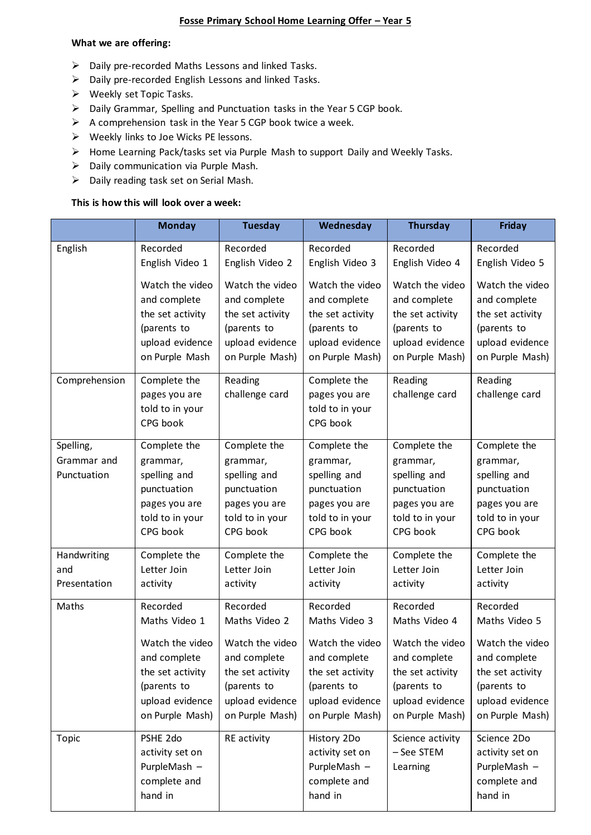#### **Fosse Primary School Home Learning Offer – Year 5**

#### **What we are offering:**

- ➢ Daily pre-recorded Maths Lessons and linked Tasks.
- ➢ Daily pre-recorded English Lessons and linked Tasks.
- ➢ Weekly set Topic Tasks.
- ➢ Daily Grammar, Spelling and Punctuation tasks in the Year 5 CGP book.
- $\triangleright$  A comprehension task in the Year 5 CGP book twice a week.
- ➢ Weekly links to Joe Wicks PE lessons.
- ➢ Home Learning Pack/tasks set via Purple Mash to support Daily and Weekly Tasks.
- ➢ Daily communication via Purple Mash.
- ➢ Daily reading task set on Serial Mash.

## **This is how this will look over a week:**

|                                         | <b>Monday</b>                                                                                           | <b>Tuesday</b>                                                                                          | Wednesday                                                                                               | <b>Thursday</b>                                                                                         | <b>Friday</b>                                                                                           |
|-----------------------------------------|---------------------------------------------------------------------------------------------------------|---------------------------------------------------------------------------------------------------------|---------------------------------------------------------------------------------------------------------|---------------------------------------------------------------------------------------------------------|---------------------------------------------------------------------------------------------------------|
| English                                 | Recorded                                                                                                | Recorded                                                                                                | Recorded                                                                                                | Recorded                                                                                                | Recorded                                                                                                |
|                                         | English Video 1                                                                                         | English Video 2                                                                                         | English Video 3                                                                                         | English Video 4                                                                                         | English Video 5                                                                                         |
|                                         | Watch the video                                                                                         | Watch the video                                                                                         | Watch the video                                                                                         | Watch the video                                                                                         | Watch the video                                                                                         |
|                                         | and complete                                                                                            | and complete                                                                                            | and complete                                                                                            | and complete                                                                                            | and complete                                                                                            |
|                                         | the set activity                                                                                        | the set activity                                                                                        | the set activity                                                                                        | the set activity                                                                                        | the set activity                                                                                        |
|                                         | (parents to                                                                                             | (parents to                                                                                             | (parents to                                                                                             | (parents to                                                                                             | (parents to                                                                                             |
|                                         | upload evidence                                                                                         | upload evidence                                                                                         | upload evidence                                                                                         | upload evidence                                                                                         | upload evidence                                                                                         |
|                                         | on Purple Mash                                                                                          | on Purple Mash)                                                                                         | on Purple Mash)                                                                                         | on Purple Mash)                                                                                         | on Purple Mash)                                                                                         |
| Comprehension                           | Complete the<br>pages you are<br>told to in your<br>CPG book                                            | Reading<br>challenge card                                                                               | Complete the<br>pages you are<br>told to in your<br>CPG book                                            | Reading<br>challenge card                                                                               | Reading<br>challenge card                                                                               |
| Spelling,<br>Grammar and<br>Punctuation | Complete the<br>grammar,<br>spelling and<br>punctuation<br>pages you are<br>told to in your<br>CPG book | Complete the<br>grammar,<br>spelling and<br>punctuation<br>pages you are<br>told to in your<br>CPG book | Complete the<br>grammar,<br>spelling and<br>punctuation<br>pages you are<br>told to in your<br>CPG book | Complete the<br>grammar,<br>spelling and<br>punctuation<br>pages you are<br>told to in your<br>CPG book | Complete the<br>grammar,<br>spelling and<br>punctuation<br>pages you are<br>told to in your<br>CPG book |
| Handwriting                             | Complete the                                                                                            | Complete the                                                                                            | Complete the                                                                                            | Complete the                                                                                            | Complete the                                                                                            |
| and                                     | Letter Join                                                                                             | Letter Join                                                                                             | Letter Join                                                                                             | Letter Join                                                                                             | Letter Join                                                                                             |
| Presentation                            | activity                                                                                                | activity                                                                                                | activity                                                                                                | activity                                                                                                | activity                                                                                                |
| Maths                                   | Recorded                                                                                                | Recorded                                                                                                | Recorded                                                                                                | Recorded                                                                                                | Recorded                                                                                                |
|                                         | Maths Video 1                                                                                           | Maths Video 2                                                                                           | Maths Video 3                                                                                           | Maths Video 4                                                                                           | Maths Video 5                                                                                           |
|                                         | Watch the video                                                                                         | Watch the video                                                                                         | Watch the video                                                                                         | Watch the video                                                                                         | Watch the video                                                                                         |
|                                         | and complete                                                                                            | and complete                                                                                            | and complete                                                                                            | and complete                                                                                            | and complete                                                                                            |
|                                         | the set activity                                                                                        | the set activity                                                                                        | the set activity                                                                                        | the set activity                                                                                        | the set activity                                                                                        |
|                                         | (parents to                                                                                             | (parents to                                                                                             | (parents to                                                                                             | (parents to                                                                                             | (parents to                                                                                             |
|                                         | upload evidence                                                                                         | upload evidence                                                                                         | upload evidence                                                                                         | upload evidence                                                                                         | upload evidence                                                                                         |
|                                         | on Purple Mash)                                                                                         | on Purple Mash)                                                                                         | on Purple Mash)                                                                                         | on Purple Mash)                                                                                         | on Purple Mash)                                                                                         |
| <b>Topic</b>                            | PSHE 2do<br>activity set on<br>PurpleMash -<br>complete and<br>hand in                                  | RE activity                                                                                             | History 2Do<br>activity set on<br>PurpleMash -<br>complete and<br>hand in                               | Science activity<br>- See STEM<br>Learning                                                              | Science 2Do<br>activity set on<br>PurpleMash -<br>complete and<br>hand in                               |